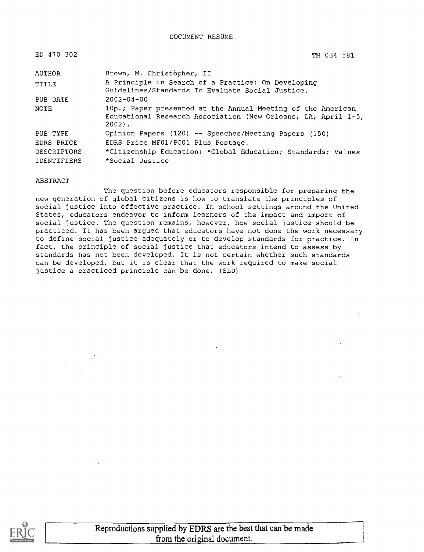| ED 470 |  | -302 |
|--------|--|------|
|        |  |      |

ED 470 302 TM 034 581

| AUTHOR      | Brown, M. Christopher, II                                                                                                                |
|-------------|------------------------------------------------------------------------------------------------------------------------------------------|
| TITLE       | A Principle in Search of a Practice: On Developing<br>Guidelines/Standards To Evaluate Social Justice.                                   |
| PUB DATE    | $2002 - 04 - 00$                                                                                                                         |
| NOTE        | 10p.; Paper presented at the Annual Meeting of the American<br>Educational Research Association (New Orleans, LA, April 1-5,<br>$2002$ . |
| PUB TYPE    | Opinion Papers (120) -- Speeches/Meeting Papers (150)                                                                                    |
| EDRS PRICE  | EDRS Price MF01/PC01 Plus Postage.                                                                                                       |
| DESCRIPTORS | *Citizenship Education; *Global Education; Standards; Values                                                                             |
| IDENTIFIERS | *Social Justice                                                                                                                          |

#### ABSTRACT

The question before educators responsible for preparing the new generation of global citizens is how to translate the principles of social justice into effective practice. In school settings around the United States, educators endeavor to inform learners of the impact and import of social justice. The question remains, however, how social justice should be practiced. It has been argued that educators have not done the work necessary to define social justice adequately or to develop standards for practice. In fact, the principle of social justice that educators intend to assess by standards has not been developed. It is not certain whether such standards can be developed, but it is clear that the work required to make social justice a practiced principle can be done. (SLD)

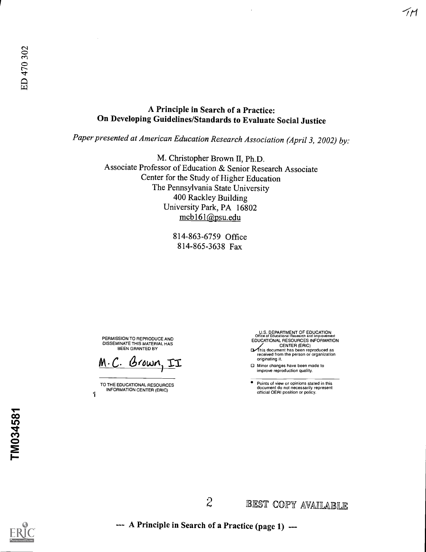## A Principle in Search of a Practice: On Developing Guidelines/Standards to Evaluate Social Justice

Paper presented at American Education Research Association (April 3, 2002) by:

M. Christopher Brown II, Ph.D. Associate Professor of Education & Senior Research Associate Center for the Study of Higher Education The Pennsylvania State University 400 Rackley Building University Park, PA 16802 mcb161@psu.edu

> 814-863-6759 Office 814-865-3638 Fax

PERMISSION TO REPRODUCE AND DISSEMINATE THIS MATERIAL HAS BEEN GRANTED BY

M.C. Brown, II

TO THE EDUCATIONAL RESOURCES INFORMATION CENTER (ERIC)

1

U.S. DEPARTMENT OF EDUCATION<br>Office of Educational Research and Improvement<br>EDUCATIONAL RESOURCES INFORMATION

-TM

- CENTER (ERIC)<br>This document has been reproduced as<br>received from the person or organization originating it.
- Minor changes have been made to improve reproduction quality.

Points of view or opinions stated in this document do not necessarily represent official OERI position or policy.

A Principle in Search of a Practice (page 1) --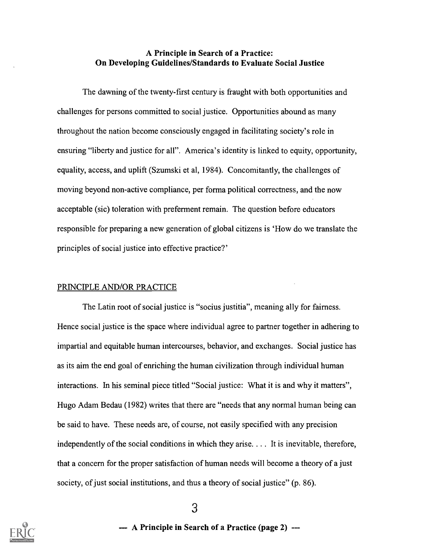### A Principle in Search of a Practice: On Developing Guidelines/Standards to Evaluate Social Justice

The dawning of the twenty-first century is fraught with both opportunities and challenges for persons committed to social justice. Opportunities abound as many throughout the nation become consciously engaged in facilitating society's role in ensuring "liberty and justice for all". America's identity is linked to equity, opportunity, equality, access, and uplift (Szumski et al, 1984). Concomitantly, the challenges of moving beyond non-active compliance, per forma political correctness, and the now acceptable (sic) toleration with preferment remain. The question before educators responsible for preparing a new generation of global citizens is 'How do we translate the principles of social justice into effective practice?'

#### PRINCIPLE AND/OR PRACTICE

The Latin root of social justice is "socius justitia", meaning ally for fairness. Hence social justice is the space where individual agree to partner together in adhering to impartial and equitable human intercourses, behavior, and exchanges. Social justice has as its aim the end goal of enriching the human civilization through individual human interactions. In his seminal piece titled "Social justice: What it is and why it matters", Hugo Adam Bedau (1982) writes that there are "needs that any normal human being can be said to have. These needs are, of course, not easily specified with any precision independently of the social conditions in which they arise. . . . It is inevitable, therefore, that a concern for the proper satisfaction of human needs will become a theory of a just society, of just social institutions, and thus a theory of social justice" (p. 86).



3

-- A Principle in Search of a Practice (page 2) ---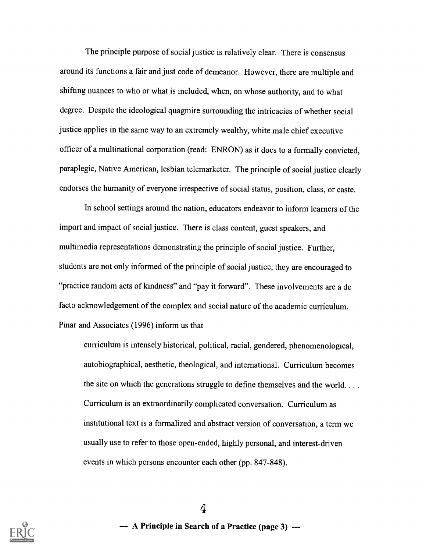The principle purpose of social justice is relatively clear. There is consensus around its functions a fair and just code of demeanor. However, there are multiple and shifting nuances to who or what is included, when, on whose authority, and to what degree. Despite the ideological quagmire surrounding the intricacies of whether social justice applies in the same way to an extremely wealthy, white male chief executive officer of a multinational corporation (read: ENRON) as it does to a formally convicted, paraplegic, Native American, lesbian telemarketer. The principle of social justice clearly endorses the humanity of everyone irrespective of social status, position, class, or caste.

In school settings around the nation, educators endeavor to inform learners of the import and impact of social justice. There is class content, guest speakers, and multimedia representations demonstrating the principle of social justice. Further, students are not only informed of the principle of social justice, they are encouraged to "practice random acts of kindness" and "pay it forward". These involvements are a de facto acknowledgement of the complex and social nature of the academic curriculum. Pinar and Associates (1996) inform us that

curriculum is intensely historical, political, racial, gendered, phenomenological, autobiographical, aesthetic, theological, and international. Curriculum becomes the site on which the generations struggle to define themselves and the world. . . . Curriculum is an extraordinarily complicated conversation. Curriculum as institutional text is a formalized and abstract version of conversation, a term we usually use to refer to those open-ended, highly personal, and interest-driven events in which persons encounter each other (pp. 847-848).

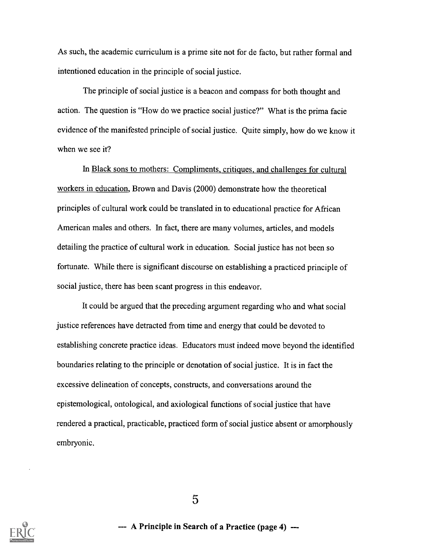As such, the academic curriculum is a prime site not for de facto, but rather formal and intentioned education in the principle of social justice.

The principle of social justice is a beacon and compass for both thought and action. The question is "How do we practice social justice?" What is the prima facie evidence of the manifested principle of social justice. Quite simply, how do we know it when we see it?

In Black sons to mothers: Compliments, critiques, and challenges for cultural workers in education, Brown and Davis (2000) demonstrate how the theoretical principles of cultural work could be translated in to educational practice for African American males and others. In fact, there are many volumes, articles, and models detailing the practice of cultural work in education. Social justice has not been so fortunate. While there is significant discourse on establishing a practiced principle of social justice, there has been scant progress in this endeavor.

It could be argued that the preceding argument regarding who and what social justice references have detracted from time and energy that could be devoted to establishing concrete practice ideas. Educators must indeed move beyond the identified boundaries relating to the principle or denotation of social justice. It is in fact the excessive delineation of concepts, constructs, and conversations around the epistemological, ontological, and axiological functions of social justice that have rendered a practical, practicable, practiced form of social justice absent or amorphously embryonic.

5



--- A Principle in Search of a Practice (page 4) ---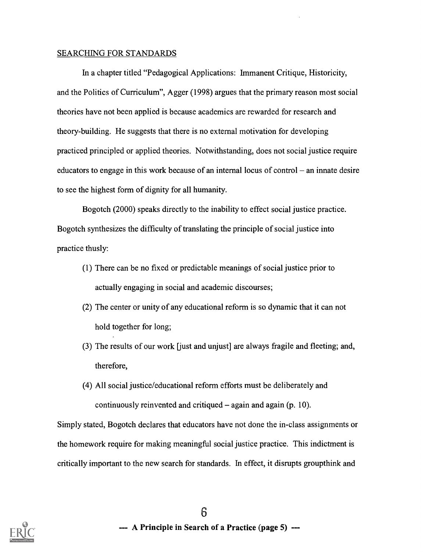#### SEARCHING FOR STANDARDS

In a chapter titled "Pedagogical Applications: Immanent Critique, Historicity, and the Politics of Curriculum", Agger (1998) argues that the primary reason most social theories have not been applied is because academics are rewarded for research and theory-building. He suggests that there is no external motivation for developing practiced principled or applied theories. Notwithstanding, does not social justice require educators to engage in this work because of an internal locus of control  $-$  an innate desire to see the highest form of dignity for all humanity.

Bogotch (2000) speaks directly to the inability to effect social justice practice. Bogotch synthesizes the difficulty of translating the principle of social justice into practice thusly:

- (1) There can be no fixed or predictable meanings of social justice prior to actually engaging in social and academic discourses;
- (2) The center or unity of any educational reform is so dynamic that it can not hold together for long;
- (3) The results of our work [just and unjust] are always fragile and fleeting; and, therefore,
- (4) All social justice/educational reform efforts must be deliberately and continuously reinvented and critiqued  $-$  again and again (p. 10).

Simply stated, Bogotch declares that educators have not done the in-class assignments or the homework require for making meaningful social justice practice. This indictment is critically important to the new search for standards. In effect, it disrupts groupthink and

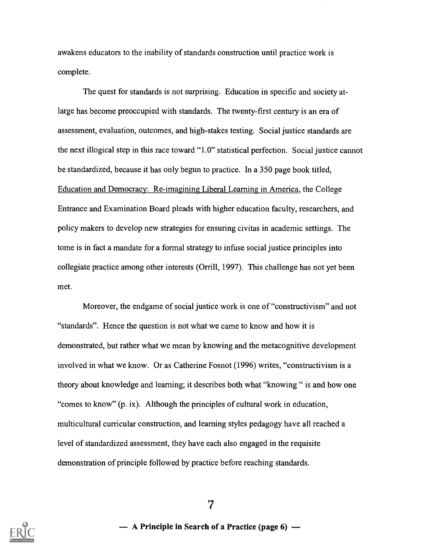awakens educators to the inability of standards construction until practice work is complete.

The quest for standards is not surprising. Education in specific and society atlarge has become preoccupied with standards. The twenty-first century is an era of assessment, evaluation, outcomes, and high-stakes testing. Social justice standards are the next illogical step in this race toward "1.0" statistical perfection. Social justice cannot be standardized, because it has only begun to practice. In a 350 page book titled, Education and Democracy: Re-imagining Liberal Learning in America, the College Entrance and Examination Board pleads with higher education faculty, researchers, and policy makers to develop new strategies for ensuring civitas in academic settings. The tome is in fact a mandate for a formal strategy to infuse social justice principles into collegiate practice among other interests (Orrill, 1997). This challenge has not yet been met.

Moreover, the endgame of social justice work is one of "constructivism" and not "standards". Hence the question is not what we came to know and how it is demonstrated, but rather what we mean by knowing and the metacognitive development involved in what we know. Or as Catherine Fosnot (1996) writes, "constructivism is a theory about knowledge and learning; it describes both what "knowing " is and how one "comes to know" (p. ix). Although the principles of cultural work in education, multicultural curricular construction, and learning styles pedagogy have all reached a level of standardized assessment, they have each also engaged in the requisite demonstration of principle followed by practice before reaching standards.



7

-- A Principle in Search of a Practice (page 6) ---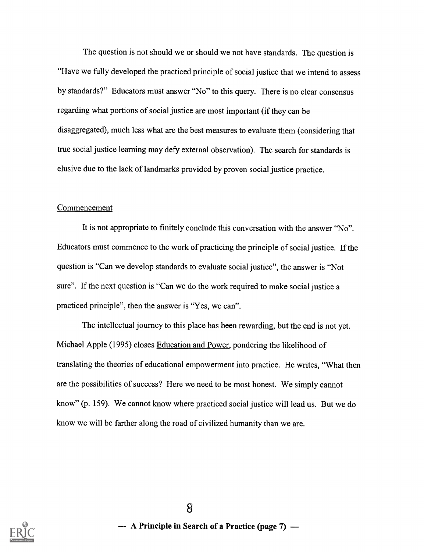The question is not should we or should we not have standards. The question is "Have we fully developed the practiced principle of social justice that we intend to assess by standards?" Educators must answer "No" to this query. There is no clear consensus regarding what portions of social justice are most important (if they can be disaggregated), much less what are the best measures to evaluate them (considering that true social justice learning may defy external observation). The search for standards is elusive due to the lack of landmarks provided by proven social justice practice.

#### Commencement

It is not appropriate to finitely conclude this conversation with the answer "No". Educators must commence to the work of practicing the principle of social justice. If the question is "Can we develop standards to evaluate social justice", the answer is "Not sure". If the next question is "Can we do the work required to make social justice a practiced principle", then the answer is "Yes, we can".

The intellectual journey to this place has been rewarding, but the end is not yet. Michael Apple (1995) closes Education and Power, pondering the likelihood of translating the theories of educational empowerment into practice. He writes, "What then are the possibilities of success? Here we need to be most honest. We simply cannot know" (p. 159). We cannot know where practiced social justice will lead us. But we do know we will be farther along the road of civilized humanity than we are.

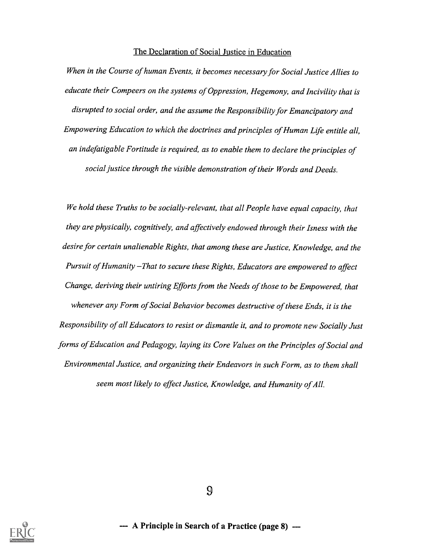#### The Declaration of Social Justice in Education

When in the Course of human Events, it becomes necessary for Social Justice Allies to educate their Compeers on the systems of Oppression, Hegemony, and Incivility that is disrupted to social order, and the assume the Responsibility for Emancipatory and Empowering Education to which the doctrines and principles of Human Life entitle all, an indefatigable Fortitude is required, as to enable them to declare the principles of social justice through the visible demonstration of their Words and Deeds.

We hold these Truths to be socially-relevant, that all People have equal capacity, that they are physically, cognitively, and affectively endowed through their Isness with the desire for certain unalienable Rights, that among these are Justice, Knowledge, and the Pursuit of Humanity-That to secure these Rights, Educators are empowered to affect Change, deriving their untiring Efforts from the Needs of those to be Empowered, that whenever any Form of Social Behavior becomes destructive of these Ends, it is the Responsibility of all Educators to resist or dismantle it, and to promote new Socially Just forms of Education and Pedagogy, laying its Core Values on the Principles of Social and Environmental Justice, and organizing their Endeavors in such Form, as to them shall seem most likely to effect Justice, Knowledge, and Humanity of All.



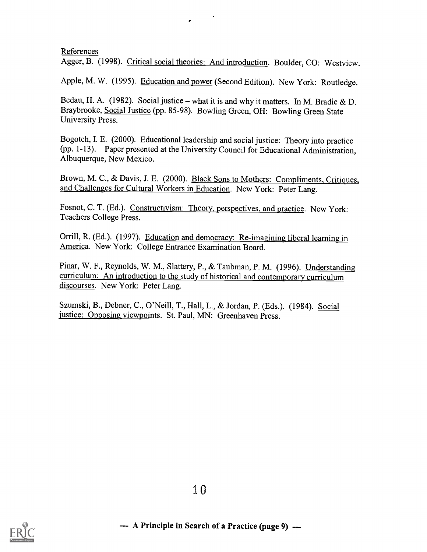#### References

Agger, B. (1998). Critical social theories: And introduction. Boulder, CO: Westview.

Apple, M. W. (1995). Education and power (Second Edition). New York: Routledge.

Bedau, H. A. (1982). Social justice – what it is and why it matters. In M. Bradie & D. Braybrooke, Social Justice (pp. 85-98). Bowling Green, OH: Bowling Green State University Press.

Bogotch, I. E. (2000). Educational leadership and social justice: Theory into practice (pp. 1-13). Paper presented at the University Council for Educational Administration, Albuquerque, New Mexico.

Brown, M. C., & Davis, J. E. (2000). Black Sons to Mothers: Compliments, Critiques, and Challenges for Cultural Workers in Education. New York: Peter Lang.

Fosnot, C. T. (Ed.). Constructivism: Theory, perspectives, and practice. New York: Teachers College Press.

Orrill, R. (Ed.). (1997). Education and democracy: Re-imagining liberal learning in America. New York: College Entrance Examination Board.

Pinar, W. F., Reynolds, W. M., Slattery, P., & Taubman, P. M. (1996). Understanding curriculum: An introduction to the study of historical and contemporary curriculum discourses. New York: Peter Lang.

Szumski, B., Debner, C., O'Neill, T., Hall, L., & Jordan, P. (Eds.). (1984). Social justice: Opposing viewpoints. St. Paul, MN: Greenhaven Press.

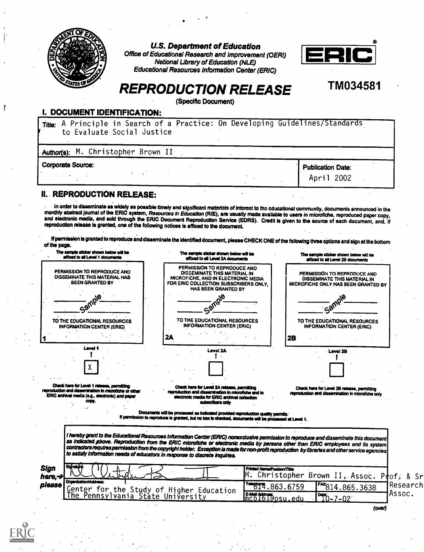

U.S. Department of Education

Office of Educational Research and Improvement (OERI) National Library of Education (NLE) Educational Resources Information Center (ERIC)



## TM034581

# REPRODUCTION RELEASE

(Specific Document)

#### I. DOCUMENT IDENTIFICATION:

| Title: A Principle in Search of a Practice: On Developing Guidelines/Standards<br>to Evaluate Social Justice |                          |  |  |  |  |  |  |
|--------------------------------------------------------------------------------------------------------------|--------------------------|--|--|--|--|--|--|
| Author(s): M. Christopher Brown II                                                                           |                          |  |  |  |  |  |  |
| <b>Corporate Source:</b>                                                                                     | <b>Publication Date:</b> |  |  |  |  |  |  |
|                                                                                                              | April 2002               |  |  |  |  |  |  |

### IL. REPRODUCTION RELEASE:

In order to disseminate as widely as possible timely and significant materials of interest to the educational community, documents announced in the monthly abstract journal of the ERIC system, Resources in Education (RIE),

If permission is granted to reproduce and disseminate the identified document, please CHECK ONE of the following three options and sign at the bottom of the page.